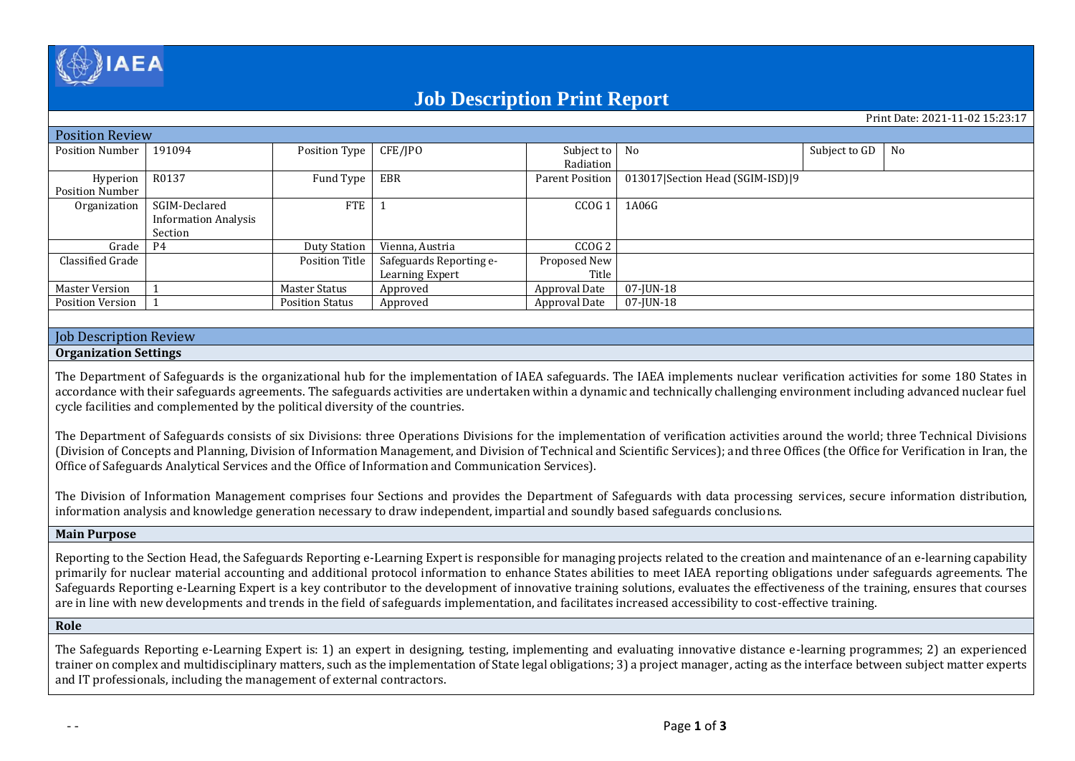

# **Job Description Print Report**

Print Date: 2021-11-02 15:23:17

| <b>Position Review</b>  |                             |                       |                         |                   |                                      |               |    |  |  |  |
|-------------------------|-----------------------------|-----------------------|-------------------------|-------------------|--------------------------------------|---------------|----|--|--|--|
| <b>Position Number</b>  | 191094                      | Position Type         | CFE/JPO                 | Subject to No     |                                      | Subject to GD | No |  |  |  |
|                         |                             |                       |                         | Radiation         |                                      |               |    |  |  |  |
| Hyperion                | R0137                       | Fund Type             | EBR                     | Parent Position   | 013017   Section Head (SGIM-ISD)   9 |               |    |  |  |  |
| Position Number         |                             |                       |                         |                   |                                      |               |    |  |  |  |
| Organization            | SGIM-Declared               | <b>FTE</b>            |                         | CCOG <sub>1</sub> | 1A06G                                |               |    |  |  |  |
|                         | <b>Information Analysis</b> |                       |                         |                   |                                      |               |    |  |  |  |
|                         | Section                     |                       |                         |                   |                                      |               |    |  |  |  |
| Grade 1                 | P4                          | <b>Duty Station</b>   | Vienna, Austria         | CCOG <sub>2</sub> |                                      |               |    |  |  |  |
| Classified Grade        |                             | <b>Position Title</b> | Safeguards Reporting e- | Proposed New      |                                      |               |    |  |  |  |
|                         |                             |                       | Learning Expert         | Title             |                                      |               |    |  |  |  |
| Master Version          |                             | Master Status         | Approved                | Approval Date     | 07-JUN-18                            |               |    |  |  |  |
| <b>Position Version</b> |                             | Position Status       | Approved                | Approval Date     | 07-JUN-18                            |               |    |  |  |  |
|                         |                             |                       |                         |                   |                                      |               |    |  |  |  |

# Job Description Review

### **Organization Settings**

The Department of Safeguards is the organizational hub for the implementation of IAEA safeguards. The IAEA implements nuclear verification activities for some 180 States in accordance with their safeguards agreements. The safeguards activities are undertaken within a dynamic and technically challenging environment including advanced nuclear fuel cycle facilities and complemented by the political diversity of the countries.

The Department of Safeguards consists of six Divisions: three Operations Divisions for the implementation of verification activities around the world; three Technical Divisions (Division of Concepts and Planning, Division of Information Management, and Division of Technical and Scientific Services); and three Offices (the Office for Verification in Iran, the Office of Safeguards Analytical Services and the Office of Information and Communication Services).

The Division of Information Management comprises four Sections and provides the Department of Safeguards with data processing services, secure information distribution, information analysis and knowledge generation necessary to draw independent, impartial and soundly based safeguards conclusions.

#### **Main Purpose**

Reporting to the Section Head, the Safeguards Reporting e-Learning Expert is responsible for managing projects related to the creation and maintenance of an e-learning capability primarily for nuclear material accounting and additional protocol information to enhance States abilities to meet IAEA reporting obligations under safeguards agreements. The Safeguards Reporting e-Learning Expert is a key contributor to the development of innovative training solutions, evaluates the effectiveness of the training, ensures that courses are in line with new developments and trends in the field of safeguards implementation, and facilitates increased accessibility to cost-effective training.

# **Role**

The Safeguards Reporting e-Learning Expert is: 1) an expert in designing, testing, implementing and evaluating innovative distance e-learning programmes; 2) an experienced trainer on complex and multidisciplinary matters, such as the implementation of State legal obligations; 3) a project manager, acting as the interface between subject matter experts and IT professionals, including the management of external contractors.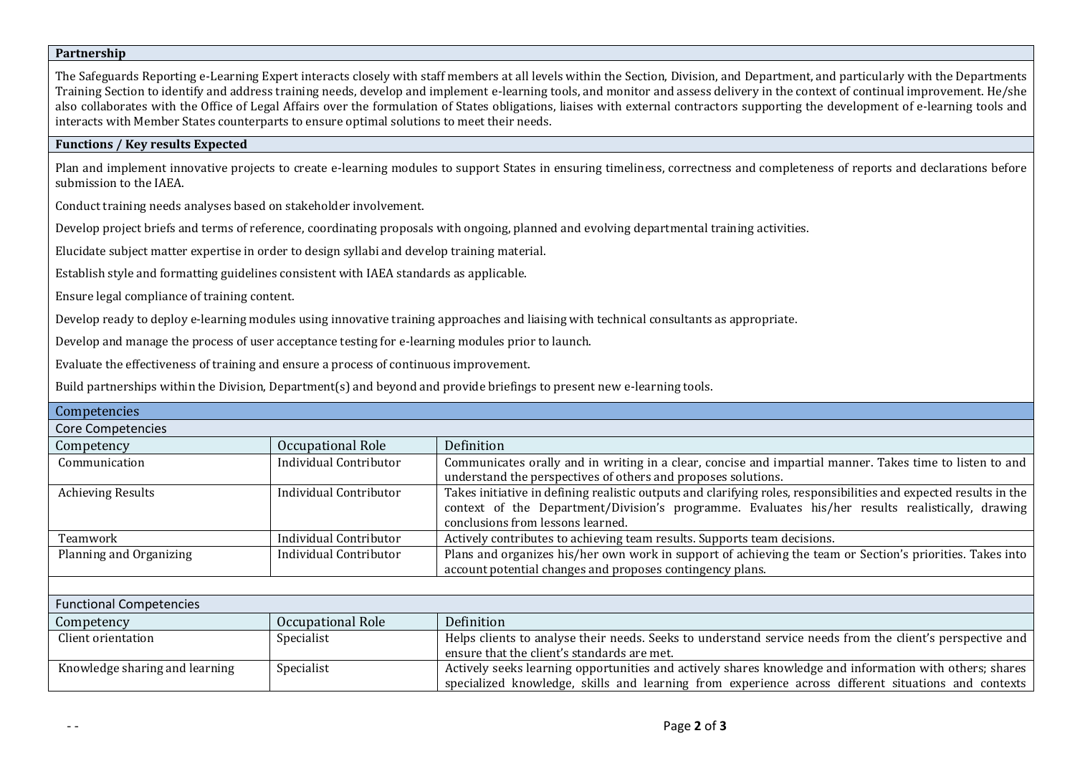# **Partnership**

The Safeguards Reporting e-Learning Expert interacts closely with staff members at all levels within the Section, Division, and Department, and particularly with the Departments Training Section to identify and address training needs, develop and implement e-learning tools, and monitor and assess delivery in the context of continual improvement. He/she also collaborates with the Office of Legal Affairs over the formulation of States obligations, liaises with external contractors supporting the development of e-learning tools and interacts with Member States counterparts to ensure optimal solutions to meet their needs.

# **Functions / Key results Expected**

Plan and implement innovative projects to create e-learning modules to support States in ensuring timeliness, correctness and completeness of reports and declarations before submission to the IAEA.

Conduct training needs analyses based on stakeholder involvement.

Develop project briefs and terms of reference, coordinating proposals with ongoing, planned and evolving departmental training activities.

Elucidate subject matter expertise in order to design syllabi and develop training material.

Establish style and formatting guidelines consistent with IAEA standards as applicable.

Ensure legal compliance of training content.

Develop ready to deploy e-learning modules using innovative training approaches and liaising with technical consultants as appropriate.

Develop and manage the process of user acceptance testing for e-learning modules prior to launch.

Evaluate the effectiveness of training and ensure a process of continuous improvement.

Build partnerships within the Division, Department(s) and beyond and provide briefings to present new e-learning tools.

| Competencies                    |                               |                                                                                                                                                                                                                                                            |  |  |  |  |  |
|---------------------------------|-------------------------------|------------------------------------------------------------------------------------------------------------------------------------------------------------------------------------------------------------------------------------------------------------|--|--|--|--|--|
| <b>Core Competencies</b>        |                               |                                                                                                                                                                                                                                                            |  |  |  |  |  |
| Occupational Role<br>Competency |                               | Definition                                                                                                                                                                                                                                                 |  |  |  |  |  |
| Communication                   | Individual Contributor        | Communicates orally and in writing in a clear, concise and impartial manner. Takes time to listen to and<br>understand the perspectives of others and proposes solutions.                                                                                  |  |  |  |  |  |
| <b>Achieving Results</b>        | Individual Contributor        | Takes initiative in defining realistic outputs and clarifying roles, responsibilities and expected results in the<br>context of the Department/Division's programme. Evaluates his/her results realistically, drawing<br>conclusions from lessons learned. |  |  |  |  |  |
| Teamwork                        | <b>Individual Contributor</b> | Actively contributes to achieving team results. Supports team decisions.                                                                                                                                                                                   |  |  |  |  |  |
| Planning and Organizing         | Individual Contributor        | Plans and organizes his/her own work in support of achieving the team or Section's priorities. Takes into<br>account potential changes and proposes contingency plans.                                                                                     |  |  |  |  |  |
|                                 |                               |                                                                                                                                                                                                                                                            |  |  |  |  |  |
| <b>Functional Competencies</b>  |                               |                                                                                                                                                                                                                                                            |  |  |  |  |  |
| Competency                      | Occupational Role             | Definition                                                                                                                                                                                                                                                 |  |  |  |  |  |
| Client orientation              | Specialist                    | Helps clients to analyse their needs. Seeks to understand service needs from the client's perspective and<br>ensure that the client's standards are met.                                                                                                   |  |  |  |  |  |
| Knowledge sharing and learning  | Specialist                    | Actively seeks learning opportunities and actively shares knowledge and information with others; shares<br>specialized knowledge, skills and learning from experience across different situations and contexts                                             |  |  |  |  |  |